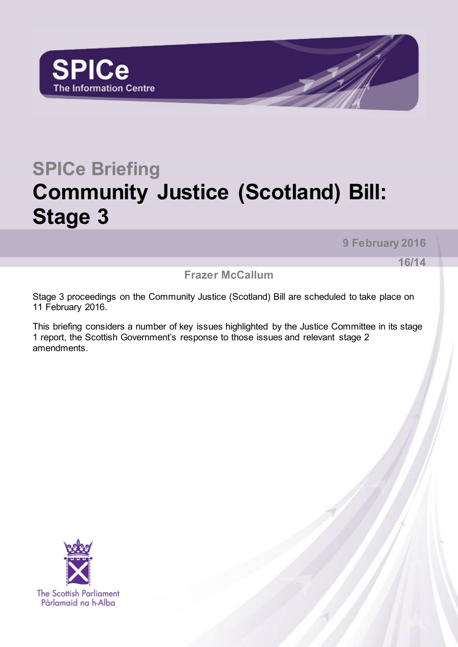

# **SPICe Briefing Community Justice (Scotland) Bill: Stage 3**

**9 February 2016**

**16/14**

**Frazer McCallum**

Stage 3 proceedings on the Community Justice (Scotland) Bill are scheduled to take place on 11 February 2016.

This briefing considers a number of key issues highlighted by the Justice Committee in its stage 1 report, the Scottish Government's response to those issues and relevant stage 2 amendments.

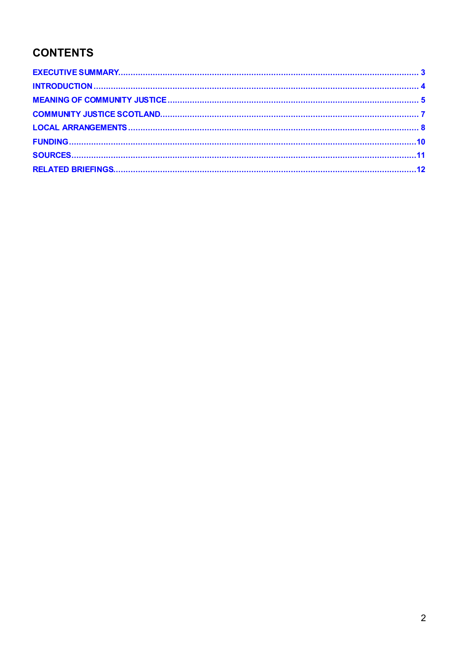#### **CONTENTS**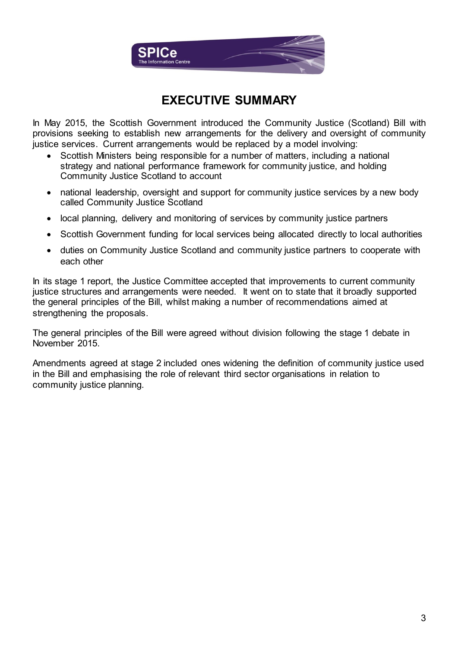

#### **EXECUTIVE SUMMARY**

<span id="page-2-0"></span>In May 2015, the Scottish Government introduced the Community Justice (Scotland) Bill with provisions seeking to establish new arrangements for the delivery and oversight of community justice services. Current arrangements would be replaced by a model involving:

- Scottish Ministers being responsible for a number of matters, including a national strategy and national performance framework for community justice, and holding Community Justice Scotland to account
- national leadership, oversight and support for community justice services by a new body called Community Justice Scotland
- local planning, delivery and monitoring of services by community justice partners
- Scottish Government funding for local services being allocated directly to local authorities
- duties on Community Justice Scotland and community justice partners to cooperate with each other

In its stage 1 report, the Justice Committee accepted that improvements to current community justice structures and arrangements were needed. It went on to state that it broadly supported the general principles of the Bill, whilst making a number of recommendations aimed at strengthening the proposals.

The general principles of the Bill were agreed without division following the stage 1 debate in November 2015.

Amendments agreed at stage 2 included ones widening the definition of community justice used in the Bill and emphasising the role of relevant third sector organisations in relation to community justice planning.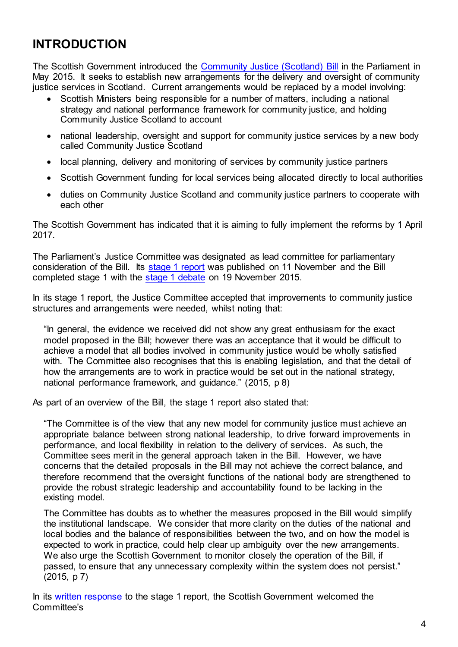## <span id="page-3-0"></span>**INTRODUCTION**

The Scottish Government introduced the [Community Justice \(Scotland\) Bill](http://www.scottish.parliament.uk/S4_Bills/Community%20Justice%20(Scotland)%20Bill/b68s4-introd.pdf) in the Parliament in May 2015. It seeks to establish new arrangements for the delivery and oversight of community justice services in Scotland. Current arrangements would be replaced by a model involving:

- Scottish Ministers being responsible for a number of matters, including a national strategy and national performance framework for community justice, and holding Community Justice Scotland to account
- national leadership, oversight and support for community justice services by a new body called Community Justice Scotland
- local planning, delivery and monitoring of services by community justice partners
- Scottish Government funding for local services being allocated directly to local authorities
- duties on Community Justice Scotland and community justice partners to cooperate with each other

The Scottish Government has indicated that it is aiming to fully implement the reforms by 1 April 2017.

The Parliament's Justice Committee was designated as lead committee for parliamentary consideration of the Bill. Its [stage 1 report](http://www.scottish.parliament.uk/parliamentarybusiness/CurrentCommittees/93907.aspx) was published on 11 November and the Bill completed stage 1 with the [stage 1 debate](http://www.scottish.parliament.uk/parliamentarybusiness/report.aspx?r=10213&mode=pdf) on 19 November 2015.

In its stage 1 report, the Justice Committee accepted that improvements to community justice structures and arrangements were needed, whilst noting that:

"In general, the evidence we received did not show any great enthusiasm for the exact model proposed in the Bill; however there was an acceptance that it would be difficult to achieve a model that all bodies involved in community justice would be wholly satisfied with. The Committee also recognises that this is enabling legislation, and that the detail of how the arrangements are to work in practice would be set out in the national strategy, national performance framework, and guidance." (2015, p 8)

As part of an overview of the Bill, the stage 1 report also stated that:

"The Committee is of the view that any new model for community justice must achieve an appropriate balance between strong national leadership, to drive forward improvements in performance, and local flexibility in relation to the delivery of services. As such, the Committee sees merit in the general approach taken in the Bill. However, we have concerns that the detailed proposals in the Bill may not achieve the correct balance, and therefore recommend that the oversight functions of the national body are strengthened to provide the robust strategic leadership and accountability found to be lacking in the existing model.

The Committee has doubts as to whether the measures proposed in the Bill would simplify the institutional landscape. We consider that more clarity on the duties of the national and local bodies and the balance of responsibilities between the two, and on how the model is expected to work in practice, could help clear up ambiguity over the new arrangements. We also urge the Scottish Government to monitor closely the operation of the Bill, if passed, to ensure that any unnecessary complexity within the system does not persist." (2015, p 7)

In its [written response](http://www.scottish.parliament.uk/S4_JusticeCommittee/Inquiries/20160111SGresponsetoStage1Report.pdf) to the stage 1 report, the Scottish Government welcomed the Committee's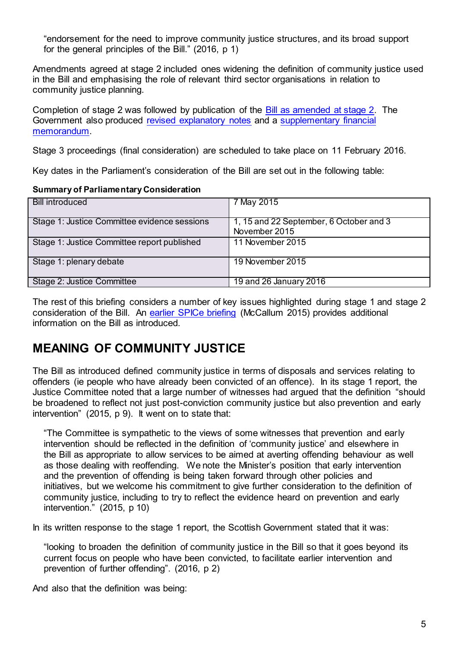"endorsement for the need to improve community justice structures, and its broad support for the general principles of the Bill." (2016, p 1)

Amendments agreed at stage 2 included ones widening the definition of community justice used in the Bill and emphasising the role of relevant third sector organisations in relation to community justice planning.

Completion of stage 2 was followed by publication of the [Bill as amended at stage 2.](http://www.scottish.parliament.uk/S4_Bills/Community%20Justice%20(Scotland)%20Bill/SPBill68AS042016.pdf) The Government also produced [revised explanatory notes](http://www.scottish.parliament.uk/S4_Bills/Community%20Justice%20(Scotland)%20Bill/SPBill68AENS042016.pdf) and a [supplementary](http://www.scottish.parliament.uk/S4_Bills/Community%20Justice%20(Scotland)%20Bill/SPBill68AFMS042016.pdf) financial [memorandum.](http://www.scottish.parliament.uk/S4_Bills/Community%20Justice%20(Scotland)%20Bill/SPBill68AFMS042016.pdf)

Stage 3 proceedings (final consideration) are scheduled to take place on 11 February 2016.

Key dates in the Parliament's consideration of the Bill are set out in the following table:

#### **Summary of Parliamentary Consideration**

| <b>Bill introduced</b>                       | 7 May 2015                                               |
|----------------------------------------------|----------------------------------------------------------|
| Stage 1: Justice Committee evidence sessions | 1, 15 and 22 September, 6 October and 3<br>November 2015 |
| Stage 1: Justice Committee report published  | 11 November 2015                                         |
| Stage 1: plenary debate                      | 19 November 2015                                         |
| Stage 2: Justice Committee                   | 19 and 26 January 2016                                   |

The rest of this briefing considers a number of key issues highlighted during stage 1 and stage 2 consideration of the Bill. An [earlier SPICe briefing](http://www.scottish.parliament.uk/ResearchBriefingsAndFactsheets/S4/SB_15-46_Community_Justice_Scotland_Bill.pdf) (McCallum 2015) provides additional information on the Bill as introduced.

#### <span id="page-4-0"></span>**MEANING OF COMMUNITY JUSTICE**

The Bill as introduced defined community justice in terms of disposals and services relating to offenders (ie people who have already been convicted of an offence). In its stage 1 report, the Justice Committee noted that a large number of witnesses had argued that the definition "should be broadened to reflect not just post-conviction community justice but also prevention and early intervention" (2015, p 9). It went on to state that:

"The Committee is sympathetic to the views of some witnesses that prevention and early intervention should be reflected in the definition of 'community justice' and elsewhere in the Bill as appropriate to allow services to be aimed at averting offending behaviour as well as those dealing with reoffending. We note the Minister's position that early intervention and the prevention of offending is being taken forward through other policies and initiatives, but we welcome his commitment to give further consideration to the definition of community justice, including to try to reflect the evidence heard on prevention and early intervention." (2015, p 10)

In its written response to the stage 1 report, the Scottish Government stated that it was:

"looking to broaden the definition of community justice in the Bill so that it goes beyond its current focus on people who have been convicted, to facilitate earlier intervention and prevention of further offending". (2016, p 2)

And also that the definition was being: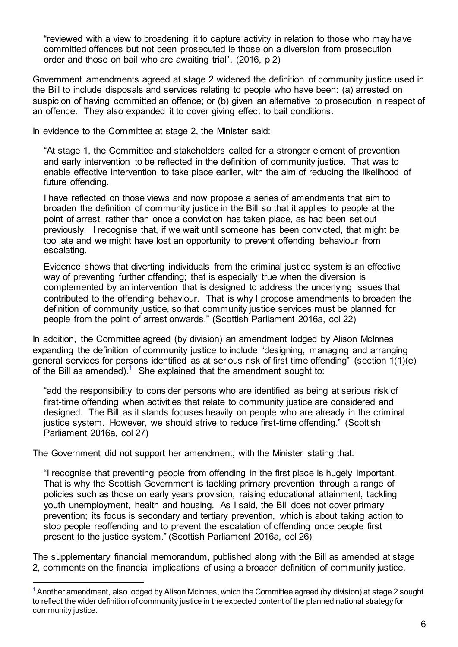"reviewed with a view to broadening it to capture activity in relation to those who may have committed offences but not been prosecuted ie those on a diversion from prosecution order and those on bail who are awaiting trial". (2016, p 2)

Government amendments agreed at stage 2 widened the definition of community justice used in the Bill to include disposals and services relating to people who have been: (a) arrested on suspicion of having committed an offence; or (b) given an alternative to prosecution in respect of an offence. They also expanded it to cover giving effect to bail conditions.

In evidence to the Committee at stage 2, the Minister said:

"At stage 1, the Committee and stakeholders called for a stronger element of prevention and early intervention to be reflected in the definition of community justice. That was to enable effective intervention to take place earlier, with the aim of reducing the likelihood of future offending.

I have reflected on those views and now propose a series of amendments that aim to broaden the definition of community justice in the Bill so that it applies to people at the point of arrest, rather than once a conviction has taken place, as had been set out previously. I recognise that, if we wait until someone has been convicted, that might be too late and we might have lost an opportunity to prevent offending behaviour from escalating.

Evidence shows that diverting individuals from the criminal justice system is an effective way of preventing further offending; that is especially true when the diversion is complemented by an intervention that is designed to address the underlying issues that contributed to the offending behaviour. That is why I propose amendments to broaden the definition of community justice, so that community justice services must be planned for people from the point of arrest onwards." (Scottish Parliament 2016a, col 22)

In addition, the Committee agreed (by division) an amendment lodged by Alison McInnes expanding the definition of community justice to include "designing, managing and arranging general services for persons identified as at serious risk of first time offending" (section 1(1)(e) of the Bill as amended).<sup>1</sup> She explained that the amendment sought to:

"add the responsibility to consider persons who are identified as being at serious risk of first-time offending when activities that relate to community justice are considered and designed. The Bill as it stands focuses heavily on people who are already in the criminal justice system. However, we should strive to reduce first-time offending." (Scottish Parliament 2016a, col 27)

The Government did not support her amendment, with the Minister stating that:

l

"I recognise that preventing people from offending in the first place is hugely important. That is why the Scottish Government is tackling primary prevention through a range of policies such as those on early years provision, raising educational attainment, tackling youth unemployment, health and housing. As I said, the Bill does not cover primary prevention; its focus is secondary and tertiary prevention, which is about taking action to stop people reoffending and to prevent the escalation of offending once people first present to the justice system." (Scottish Parliament 2016a, col 26)

The supplementary financial memorandum, published along with the Bill as amended at stage 2, comments on the financial implications of using a broader definition of community justice.

<sup>&</sup>lt;sup>1</sup> Another amendment, also lodged by Alison McInnes, which the Committee agreed (by division) at stage 2 sought to reflect the wider definition of community justice in the expected content of the planned national strategy for community justice.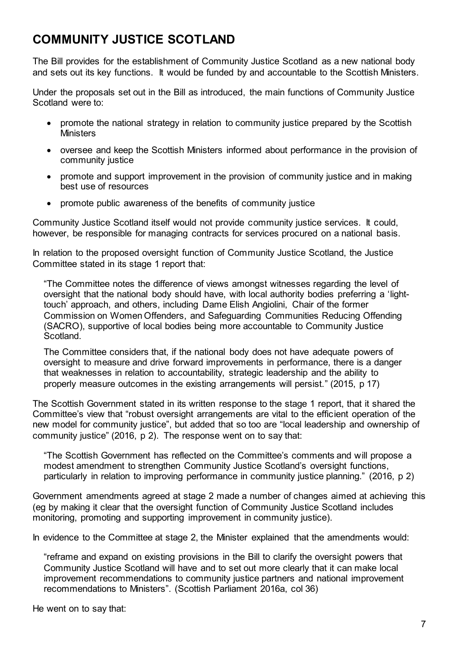### <span id="page-6-0"></span>**COMMUNITY JUSTICE SCOTLAND**

The Bill provides for the establishment of Community Justice Scotland as a new national body and sets out its key functions. It would be funded by and accountable to the Scottish Ministers.

Under the proposals set out in the Bill as introduced, the main functions of Community Justice Scotland were to:

- promote the national strategy in relation to community justice prepared by the Scottish **Ministers**
- oversee and keep the Scottish Ministers informed about performance in the provision of community justice
- promote and support improvement in the provision of community justice and in making best use of resources
- promote public awareness of the benefits of community justice

Community Justice Scotland itself would not provide community justice services. It could, however, be responsible for managing contracts for services procured on a national basis.

In relation to the proposed oversight function of Community Justice Scotland, the Justice Committee stated in its stage 1 report that:

"The Committee notes the difference of views amongst witnesses regarding the level of oversight that the national body should have, with local authority bodies preferring a 'lighttouch' approach, and others, including Dame Elish Angiolini, Chair of the former Commission on Women Offenders, and Safeguarding Communities Reducing Offending (SACRO), supportive of local bodies being more accountable to Community Justice Scotland.

The Committee considers that, if the national body does not have adequate powers of oversight to measure and drive forward improvements in performance, there is a danger that weaknesses in relation to accountability, strategic leadership and the ability to properly measure outcomes in the existing arrangements will persist." (2015, p 17)

The Scottish Government stated in its written response to the stage 1 report, that it shared the Committee's view that "robust oversight arrangements are vital to the efficient operation of the new model for community justice", but added that so too are "local leadership and ownership of community justice" (2016, p 2). The response went on to say that:

"The Scottish Government has reflected on the Committee's comments and will propose a modest amendment to strengthen Community Justice Scotland's oversight functions, particularly in relation to improving performance in community justice planning." (2016, p 2)

Government amendments agreed at stage 2 made a number of changes aimed at achieving this (eg by making it clear that the oversight function of Community Justice Scotland includes monitoring, promoting and supporting improvement in community justice).

In evidence to the Committee at stage 2, the Minister explained that the amendments would:

"reframe and expand on existing provisions in the Bill to clarify the oversight powers that Community Justice Scotland will have and to set out more clearly that it can make local improvement recommendations to community justice partners and national improvement recommendations to Ministers". (Scottish Parliament 2016a, col 36)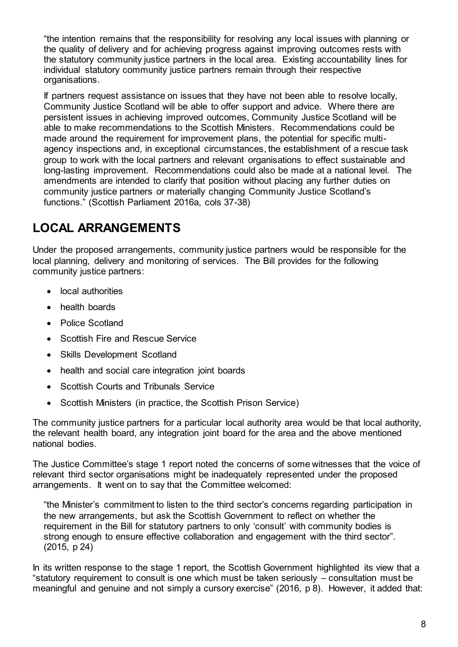"the intention remains that the responsibility for resolving any local issues with planning or the quality of delivery and for achieving progress against improving outcomes rests with the statutory community justice partners in the local area. Existing accountability lines for individual statutory community justice partners remain through their respective organisations.

If partners request assistance on issues that they have not been able to resolve locally, Community Justice Scotland will be able to offer support and advice. Where there are persistent issues in achieving improved outcomes, Community Justice Scotland will be able to make recommendations to the Scottish Ministers. Recommendations could be made around the requirement for improvement plans, the potential for specific multiagency inspections and, in exceptional circumstances, the establishment of a rescue task group to work with the local partners and relevant organisations to effect sustainable and long-lasting improvement. Recommendations could also be made at a national level. The amendments are intended to clarify that position without placing any further duties on community justice partners or materially changing Community Justice Scotland's functions." (Scottish Parliament 2016a, cols 37-38)

# <span id="page-7-0"></span>**LOCAL ARRANGEMENTS**

Under the proposed arrangements, community justice partners would be responsible for the local planning, delivery and monitoring of services. The Bill provides for the following community justice partners:

- local authorities
- health boards
- Police Scotland
- Scottish Fire and Rescue Service
- Skills Development Scotland
- health and social care integration joint boards
- Scottish Courts and Tribunals Service
- Scottish Ministers (in practice, the Scottish Prison Service)

The community justice partners for a particular local authority area would be that local authority, the relevant health board, any integration joint board for the area and the above mentioned national bodies.

The Justice Committee's stage 1 report noted the concerns of some witnesses that the voice of relevant third sector organisations might be inadequately represented under the proposed arrangements. It went on to say that the Committee welcomed:

"the Minister's commitment to listen to the third sector's concerns regarding participation in the new arrangements, but ask the Scottish Government to reflect on whether the requirement in the Bill for statutory partners to only 'consult' with community bodies is strong enough to ensure effective collaboration and engagement with the third sector". (2015, p 24)

In its written response to the stage 1 report, the Scottish Government highlighted its view that a "statutory requirement to consult is one which must be taken seriously – consultation must be meaningful and genuine and not simply a cursory exercise" (2016, p 8). However, it added that: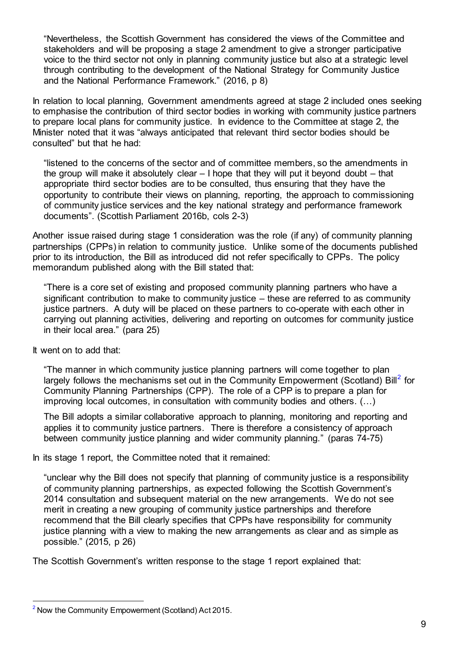"Nevertheless, the Scottish Government has considered the views of the Committee and stakeholders and will be proposing a stage 2 amendment to give a stronger participative voice to the third sector not only in planning community justice but also at a strategic level through contributing to the development of the National Strategy for Community Justice and the National Performance Framework." (2016, p 8)

In relation to local planning, Government amendments agreed at stage 2 included ones seeking to emphasise the contribution of third sector bodies in working with community justice partners to prepare local plans for community justice. In evidence to the Committee at stage 2, the Minister noted that it was "always anticipated that relevant third sector bodies should be consulted" but that he had:

"listened to the concerns of the sector and of committee members, so the amendments in the group will make it absolutely clear – I hope that they will put it beyond doubt – that appropriate third sector bodies are to be consulted, thus ensuring that they have the opportunity to contribute their views on planning, reporting, the approach to commissioning of community justice services and the key national strategy and performance framework documents". (Scottish Parliament 2016b, cols 2-3)

Another issue raised during stage 1 consideration was the role (if any) of community planning partnerships (CPPs) in relation to community justice. Unlike some of the documents published prior to its introduction, the Bill as introduced did not refer specifically to CPPs. The policy memorandum published along with the Bill stated that:

"There is a core set of existing and proposed community planning partners who have a significant contribution to make to community justice – these are referred to as community justice partners. A duty will be placed on these partners to co-operate with each other in carrying out planning activities, delivering and reporting on outcomes for community justice in their local area." (para 25)

It went on to add that:

l

"The manner in which community justice planning partners will come together to plan largely follows the mechanisms set out in the Community Empowerment (Scotland) Bill<sup>2</sup> for Community Planning Partnerships (CPP). The role of a CPP is to prepare a plan for improving local outcomes, in consultation with community bodies and others. (…)

The Bill adopts a similar collaborative approach to planning, monitoring and reporting and applies it to community justice partners. There is therefore a consistency of approach between community justice planning and wider community planning." (paras 74-75)

In its stage 1 report, the Committee noted that it remained:

"unclear why the Bill does not specify that planning of community justice is a responsibility of community planning partnerships, as expected following the Scottish Government's 2014 consultation and subsequent material on the new arrangements. We do not see merit in creating a new grouping of community justice partnerships and therefore recommend that the Bill clearly specifies that CPPs have responsibility for community justice planning with a view to making the new arrangements as clear and as simple as possible." (2015, p 26)

The Scottish Government's written response to the stage 1 report explained that:

<sup>&</sup>lt;sup>2</sup> Now the Community Empowerment (Scotland) Act 2015.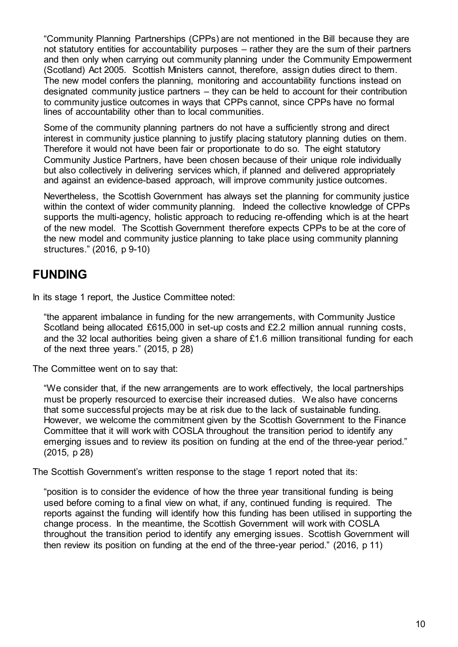"Community Planning Partnerships (CPPs) are not mentioned in the Bill because they are not statutory entities for accountability purposes – rather they are the sum of their partners and then only when carrying out community planning under the Community Empowerment (Scotland) Act 2005. Scottish Ministers cannot, therefore, assign duties direct to them. The new model confers the planning, monitoring and accountability functions instead on designated community justice partners – they can be held to account for their contribution to community justice outcomes in ways that CPPs cannot, since CPPs have no formal lines of accountability other than to local communities.

Some of the community planning partners do not have a sufficiently strong and direct interest in community justice planning to justify placing statutory planning duties on them. Therefore it would not have been fair or proportionate to do so. The eight statutory Community Justice Partners, have been chosen because of their unique role individually but also collectively in delivering services which, if planned and delivered appropriately and against an evidence-based approach, will improve community justice outcomes.

Nevertheless, the Scottish Government has always set the planning for community justice within the context of wider community planning. Indeed the collective knowledge of CPPs supports the multi-agency, holistic approach to reducing re-offending which is at the heart of the new model. The Scottish Government therefore expects CPPs to be at the core of the new model and community justice planning to take place using community planning structures." (2016, p 9-10)

#### <span id="page-9-0"></span>**FUNDING**

In its stage 1 report, the Justice Committee noted:

"the apparent imbalance in funding for the new arrangements, with Community Justice Scotland being allocated £615,000 in set-up costs and £2.2 million annual running costs, and the 32 local authorities being given a share of £1.6 million transitional funding for each of the next three years." (2015, p 28)

The Committee went on to say that:

"We consider that, if the new arrangements are to work effectively, the local partnerships must be properly resourced to exercise their increased duties. We also have concerns that some successful projects may be at risk due to the lack of sustainable funding. However, we welcome the commitment given by the Scottish Government to the Finance Committee that it will work with COSLA throughout the transition period to identify any emerging issues and to review its position on funding at the end of the three-year period." (2015, p 28)

The Scottish Government's written response to the stage 1 report noted that its:

"position is to consider the evidence of how the three year transitional funding is being used before coming to a final view on what, if any, continued funding is required. The reports against the funding will identify how this funding has been utilised in supporting the change process. In the meantime, the Scottish Government will work with COSLA throughout the transition period to identify any emerging issues. Scottish Government will then review its position on funding at the end of the three-year period." (2016, p 11)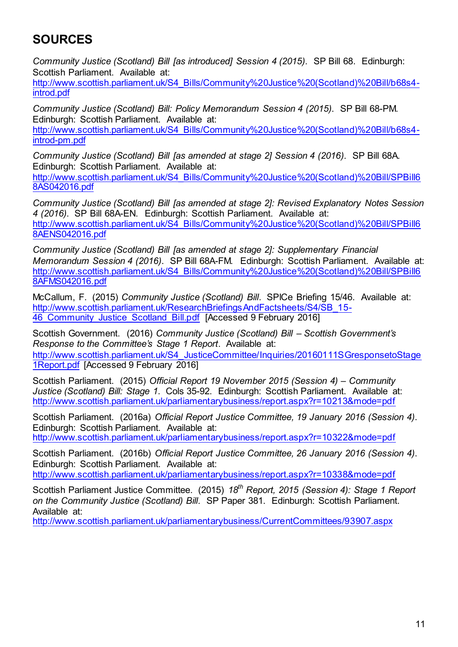## <span id="page-10-0"></span>**SOURCES**

*Community Justice (Scotland) Bill [as introduced] Session 4 (2015)*. SP Bill 68. Edinburgh: Scottish Parliament. Available at:

[http://www.scottish.parliament.uk/S4\\_Bills/Community%20Justice%20\(Scotland\)%20Bill/b68s4](http://www.scottish.parliament.uk/S4_Bills/Community%20Justice%20(Scotland)%20Bill/b68s4-introd.pdf) [introd.pdf](http://www.scottish.parliament.uk/S4_Bills/Community%20Justice%20(Scotland)%20Bill/b68s4-introd.pdf)

*Community Justice (Scotland) Bill: Policy Memorandum Session 4 (2015)*. SP Bill 68-PM. Edinburgh: Scottish Parliament. Available at:

[http://www.scottish.parliament.uk/S4\\_Bills/Community%20Justice%20\(Scotland\)%20Bill/b68s4](http://www.scottish.parliament.uk/S4_Bills/Community%20Justice%20(Scotland)%20Bill/b68s4-introd-pm.pdf) [introd-pm.pdf](http://www.scottish.parliament.uk/S4_Bills/Community%20Justice%20(Scotland)%20Bill/b68s4-introd-pm.pdf)

*Community Justice (Scotland) Bill [as amended at stage 2] Session 4 (2016)*. SP Bill 68A. Edinburgh: Scottish Parliament. Available at:

[http://www.scottish.parliament.uk/S4\\_Bills/Community%20Justice%20\(Scotland\)%20Bill/SPBill6](http://www.scottish.parliament.uk/S4_Bills/Community%20Justice%20(Scotland)%20Bill/SPBill68AS042016.pdf) [8AS042016.pdf](http://www.scottish.parliament.uk/S4_Bills/Community%20Justice%20(Scotland)%20Bill/SPBill68AS042016.pdf)

*Community Justice (Scotland) Bill [as amended at stage 2]: Revised Explanatory Notes Session 4 (2016)*. SP Bill 68A-EN. Edinburgh: Scottish Parliament. Available at: [http://www.scottish.parliament.uk/S4\\_Bills/Community%20Justice%20\(Scotland\)%20Bill/SPBill6](http://www.scottish.parliament.uk/S4_Bills/Community%20Justice%20(Scotland)%20Bill/SPBill68AENS042016.pdf) [8AENS042016.pdf](http://www.scottish.parliament.uk/S4_Bills/Community%20Justice%20(Scotland)%20Bill/SPBill68AENS042016.pdf)

*Community Justice (Scotland) Bill [as amended at stage 2]: Supplementary Financial Memorandum Session 4 (2016)*. SP Bill 68A-FM. Edinburgh: Scottish Parliament. Available at: [http://www.scottish.parliament.uk/S4\\_Bills/Community%20Justice%20\(Scotland\)%20Bill/SPBill6](http://www.scottish.parliament.uk/S4_Bills/Community%20Justice%20(Scotland)%20Bill/SPBill68AFMS042016.pdf) [8AFMS042016.pdf](http://www.scottish.parliament.uk/S4_Bills/Community%20Justice%20(Scotland)%20Bill/SPBill68AFMS042016.pdf)

McCallum, F. (2015) *Community Justice (Scotland) Bill*. SPICe Briefing 15/46. Available at: [http://www.scottish.parliament.uk/ResearchBriefingsAndFactsheets/S4/SB\\_15-](http://www.scottish.parliament.uk/ResearchBriefingsAndFactsheets/S4/SB_15-46_Community_Justice_Scotland_Bill.pdf) 46 Community Justice Scotland Bill.pdf [Accessed 9 February 2016]

Scottish Government. (2016) *Community Justice (Scotland) Bill – Scottish Government's Response to the Committee's Stage 1 Report*. Available at: [http://www.scottish.parliament.uk/S4\\_JusticeCommittee/Inquiries/20160111SGresponsetoStage](http://www.scottish.parliament.uk/S4_JusticeCommittee/Inquiries/20160111SGresponsetoStage1Report.pdf) [1Report.pdf](http://www.scottish.parliament.uk/S4_JusticeCommittee/Inquiries/20160111SGresponsetoStage1Report.pdf) [Accessed 9 February 2016]

Scottish Parliament. (2015) *Official Report 19 November 2015 (Session 4) – Community Justice (Scotland) Bill: Stage 1*. Cols 35-92. Edinburgh: Scottish Parliament. Available at: <http://www.scottish.parliament.uk/parliamentarybusiness/report.aspx?r=10213&mode=pdf>

Scottish Parliament. (2016a) *Official Report Justice Committee, 19 January 2016 (Session 4)*. Edinburgh: Scottish Parliament. Available at: <http://www.scottish.parliament.uk/parliamentarybusiness/report.aspx?r=10322&mode=pdf>

Scottish Parliament. (2016b) *Official Report Justice Committee, 26 January 2016 (Session 4)*. Edinburgh: Scottish Parliament. Available at: <http://www.scottish.parliament.uk/parliamentarybusiness/report.aspx?r=10338&mode=pdf>

Scottish Parliament Justice Committee. (2015) *18th Report, 2015 (Session 4): Stage 1 Report on the Community Justice (Scotland) Bill*. SP Paper 381. Edinburgh: Scottish Parliament. Available at:

<http://www.scottish.parliament.uk/parliamentarybusiness/CurrentCommittees/93907.aspx>